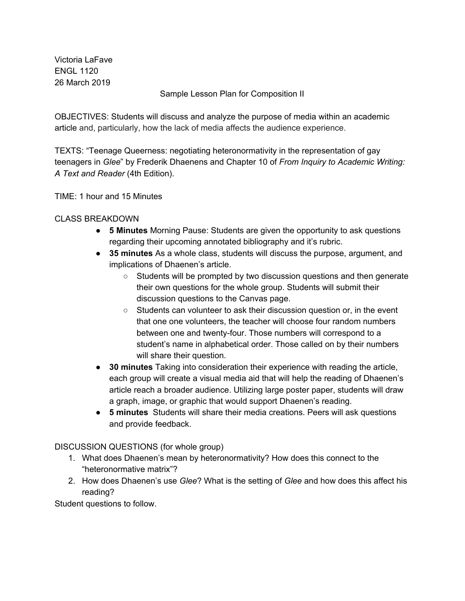Victoria LaFave ENGL 1120 26 March 2019

Sample Lesson Plan for Composition II

OBJECTIVES: Students will discuss and analyze the purpose of media within an academic article and, particularly, how the lack of media affects the audience experience.

TEXTS: "Teenage Queerness: negotiating heteronormativity in the representation of gay teenagers in *Glee*" by Frederik Dhaenens and Chapter 10 of *From Inquiry to Academic Writing: A Text and Reader* (4th Edition).

TIME: 1 hour and 15 Minutes

## CLASS BREAKDOWN

- **5 Minutes** Morning Pause: Students are given the opportunity to ask questions regarding their upcoming annotated bibliography and it's rubric.
- **● 35 minutes** As a whole class, students will discuss the purpose, argument, and implications of Dhaenen's article.
	- Students will be prompted by two discussion questions and then generate their own questions for the whole group. Students will submit their discussion questions to the Canvas page.
	- Students can volunteer to ask their discussion question or, in the event that one one volunteers, the teacher will choose four random numbers between one and twenty-four. Those numbers will correspond to a student's name in alphabetical order. Those called on by their numbers will share their question.
- **● 30 minutes** Taking into consideration their experience with reading the article, each group will create a visual media aid that will help the reading of Dhaenen's article reach a broader audience. Utilizing large poster paper, students will draw a graph, image, or graphic that would support Dhaenen's reading.
- **● 5 minutes** Students will share their media creations. Peers will ask questions and provide feedback.

## DISCUSSION QUESTIONS (for whole group)

- 1. What does Dhaenen's mean by heteronormativity? How does this connect to the "heteronormative matrix"?
- 2. How does Dhaenen's use *Glee*? What is the setting of *Glee* and how does this affect his reading?

Student questions to follow.